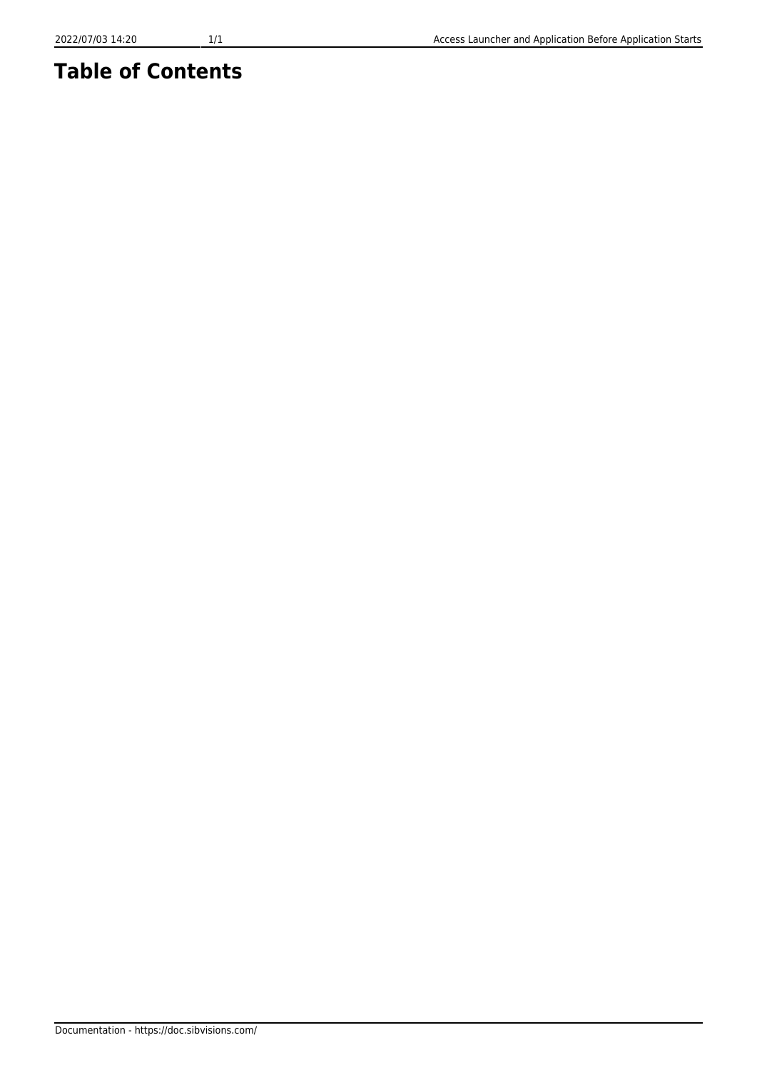## **Table of Contents**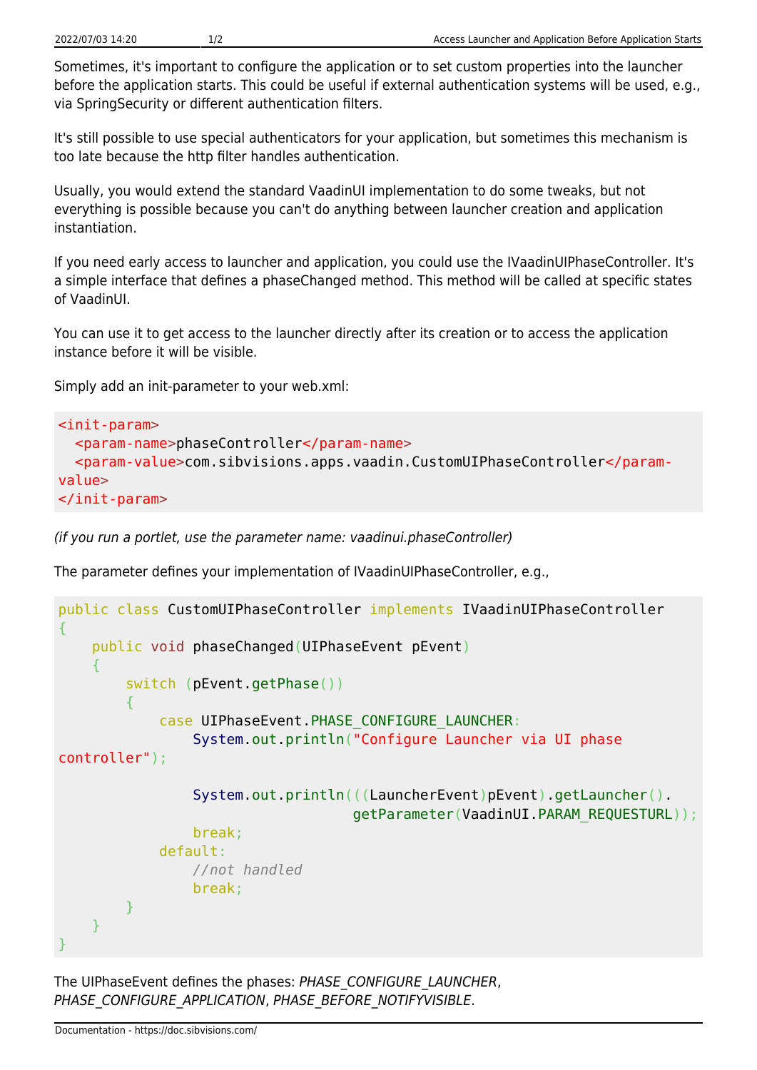Sometimes, it's important to configure the application or to set custom properties into the launcher before the application starts. This could be useful if external authentication systems will be used, e.g., via SpringSecurity or different authentication filters.

It's still possible to use special authenticators for your application, but sometimes this mechanism is too late because the http filter handles authentication.

Usually, you would extend the standard VaadinUI implementation to do some tweaks, but not everything is possible because you can't do anything between launcher creation and application instantiation.

If you need early access to launcher and application, you could use the IVaadinUIPhaseController. It's a simple interface that defines a phaseChanged method. This method will be called at specific states of VaadinUI.

You can use it to get access to the launcher directly after its creation or to access the application instance before it will be visible.

Simply add an init-parameter to your web.xml:

```
<init-param>
   <param-name>phaseController</param-name>
   <param-value>com.sibvisions.apps.vaadin.CustomUIPhaseController</param-
value>
</init-param>
```
(if you run a portlet, use the parameter name: vaadinui.phaseController)

The parameter defines your implementation of IVaadinUIPhaseController, e.g.,

```
public class CustomUIPhaseController implements IVaadinUIPhaseController
{
     public void phaseChanged(UIPhaseEvent pEvent)
     {
         switch (pEvent.getPhase())
 {
             case UIPhaseEvent.PHASE_CONFIGURE_LAUNCHER:
                 System.out.println("Configure Launcher via UI phase
controller");
                 System.out.println(((LauncherEvent)pEvent).getLauncher().
                                     getParameter(VaadinUI.PARAM_REQUESTURL));
                 break;
             default:
                 //not handled
                 break;
         }
     }
}
```
The UIPhaseEvent defines the phases: PHASE\_CONFIGURE\_LAUNCHER, PHASE\_CONFIGURE\_APPLICATION, PHASE\_BEFORE\_NOTIFYVISIBLE.

Documentation - https://doc.sibvisions.com/